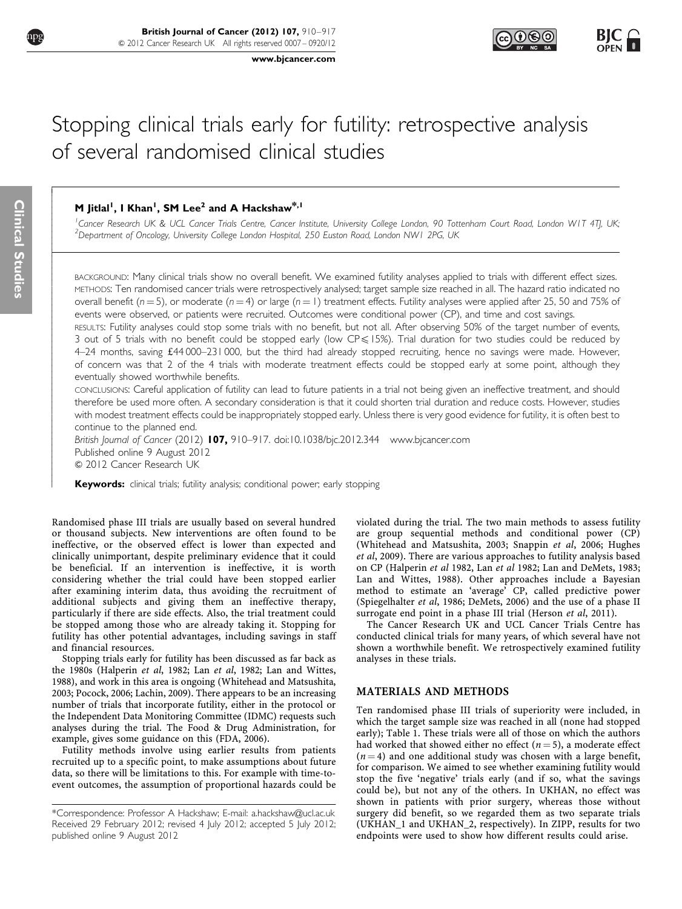[www.bjcancer.com](http://www.bjcancer.com)





# Stopping clinical trials early for futility: retrospective analysis of several randomised clinical studies

# M Jitlal<sup>1</sup>, I Khan<sup>1</sup>, SM Lee<sup>2</sup> and A Hackshaw<sup>\*,1</sup>

<sup>1</sup>Cancer Research UK & UCL Cancer Trials Centre, Cancer Institute, University College London, 90 Tottenham Court Road, London WIT 4TJ, UK, <sup>2</sup> Department of Oncology, University College London Hospital, 250 Euston Road, London NWI 2PG, UK

BACKGROUND: Many clinical trials show no overall benefit. We examined futility analyses applied to trials with different effect sizes. METHODS: Ten randomised cancer trials were retrospectively analysed; target sample size reached in all. The hazard ratio indicated no overall benefit ( $n = 5$ ), or moderate ( $n = 4$ ) or large ( $n = 1$ ) treatment effects. Futility analyses were applied after 25, 50 and 75% of events were observed, or patients were recruited. Outcomes were conditional power (CP), and time and cost savings.

RESULTS: Futility analyses could stop some trials with no benefit, but not all. After observing 50% of the target number of events, 3 out of 5 trials with no benefit could be stopped early (low  $CP \leq 15\%$ ). Trial duration for two studies could be reduced by 4–24 months, saving £44 000–231 000, but the third had already stopped recruiting, hence no savings were made. However, of concern was that 2 of the 4 trials with moderate treatment effects could be stopped early at some point, although they eventually showed worthwhile benefits.

CONCLUSIONS: Careful application of futility can lead to future patients in a trial not being given an ineffective treatment, and should therefore be used more often. A secondary consideration is that it could shorten trial duration and reduce costs. However, studies with modest treatment effects could be inappropriately stopped early. Unless there is very good evidence for futility, it is often best to continue to the planned end.

British Journal of Cancer (2012) 107, 910-917. doi:[10.1038/bjc.2012.344](http://dx.doi.org/10.1038/bjc.2012.344)<www.bjcancer.com> Published online 9 August 2012  $©$  2012 Cancer Research UK

Keywords: clinical trials; futility analysis; conditional power; early stopping

Randomised phase III trials are usually based on several hundred or thousand subjects. New interventions are often found to be ineffective, or the observed effect is lower than expected and clinically unimportant, despite preliminary evidence that it could be beneficial. If an intervention is ineffective, it is worth considering whether the trial could have been stopped earlier after examining interim data, thus avoiding the recruitment of additional subjects and giving them an ineffective therapy, particularly if there are side effects. Also, the trial treatment could be stopped among those who are already taking it. Stopping for futility has other potential advantages, including savings in staff and financial resources.

Stopping trials early for futility has been discussed as far back as the 1980s ([Halperin](#page-6-0) et al, 1982; Lan et al[, 1982; Lan and Wittes,](#page-6-0) [1988](#page-6-0)), and work in this area is ongoing [\(Whitehead and Matsushita,](#page-6-0) [2003](#page-6-0); [Pocock, 2006; Lachin, 2009\)](#page-6-0). There appears to be an increasing number of trials that incorporate futility, either in the protocol or the Independent Data Monitoring Committee (IDMC) requests such analyses during the trial. The Food & Drug Administration, for example, gives some guidance on this ([FDA, 2006](#page-6-0)).

Futility methods involve using earlier results from patients recruited up to a specific point, to make assumptions about future data, so there will be limitations to this. For example with time-toevent outcomes, the assumption of proportional hazards could be violated during the trial. The two main methods to assess futility are group sequential methods and conditional power (CP) ([Whitehead and Matsushita, 2003; Snappin](#page-6-0) et al, 2006; [Hughes](#page-6-0) et al[, 2009](#page-6-0)). There are various approaches to futility analysis based on CP [\(Halperin](#page-6-0) et al 1982, Lan et al [1982](#page-6-0); [Lan and DeMets, 1983](#page-6-0); [Lan and Wittes, 1988\)](#page-6-0). Other approaches include a Bayesian method to estimate an 'average' CP, called predictive power ([Spiegelhalter](#page-6-0) et al, 1986; [DeMets, 2006](#page-6-0)) and the use of a phase II surrogate end point in a phase III trial [\(Herson](#page-6-0) et al, 2011).

The Cancer Research UK and UCL Cancer Trials Centre has conducted clinical trials for many years, of which several have not shown a worthwhile benefit. We retrospectively examined futility analyses in these trials.

#### MATERIALS AND METHODS

Ten randomised phase III trials of superiority were included, in which the target sample size was reached in all (none had stopped early); [Table 1](#page-1-0). These trials were all of those on which the authors had worked that showed either no effect ( $n = 5$ ), a moderate effect  $(n = 4)$  and one additional study was chosen with a large benefit, for comparison. We aimed to see whether examining futility would stop the five 'negative' trials early (and if so, what the savings could be), but not any of the others. In UKHAN, no effect was shown in patients with prior surgery, whereas those without surgery did benefit, so we regarded them as two separate trials (UKHAN\_1 and UKHAN\_2, respectively). In ZIPP, results for two endpoints were used to show how different results could arise.

- $\overline{1}$  $\overline{\phantom{a}}$  $\overline{\phantom{a}}$  $\overline{\phantom{a}}$  $\overline{\phantom{a}}$  $\overline{\phantom{a}}$  $\overline{\phantom{a}}$  $\overline{\phantom{a}}$  $\overline{\phantom{a}}$  $\overline{\phantom{a}}$ -- $\overline{\phantom{a}}$  $\overline{\phantom{a}}$  $\overline{\phantom{a}}$  $\overline{\phantom{a}}$  $\overline{\phantom{a}}$  $\overline{\phantom{a}}$  $\overline{\phantom{a}}$  $\overline{\phantom{a}}$  $\overline{\phantom{a}}$  $\overline{\phantom{a}}$  $\overline{\phantom{a}}$  $\overline{\phantom{a}}$  $\overline{\phantom{a}}$  $\overline{\phantom{a}}$  $\overline{\phantom{a}}$  $\overline{\phantom{a}}$  $\overline{\phantom{a}}$  $\overline{\phantom{a}}$  $\overline{\phantom{a}}$  $\overline{\phantom{a}}$  $\overline{\phantom{a}}$  $\overline{\phantom{a}}$  $\overline{\phantom{a}}$  $\overline{\phantom{a}}$  $\overline{\phantom{a}}$  $\overline{\phantom{a}}$  $\overline{\phantom{a}}$  $\overline{\phantom{a}}$  $\overline{\phantom{a}}$  $\overline{\phantom{a}}$  $\overline{\phantom{a}}$  $\overline{\phantom{a}}$  $\overline{\phantom{a}}$  $\overline{\phantom{a}}$  $\overline{\phantom{a}}$  $\overline{\phantom{a}}$  $\overline{\phantom{a}}$ 

<sup>\*</sup>Correspondence: Professor A Hackshaw; E-mail: [a.hackshaw@ucl.ac.uk](mailto:a.hackshaw@ucl.ac.uk) Received 29 February 2012; revised 4 July 2012; accepted 5 July 2012; published online 9 August 2012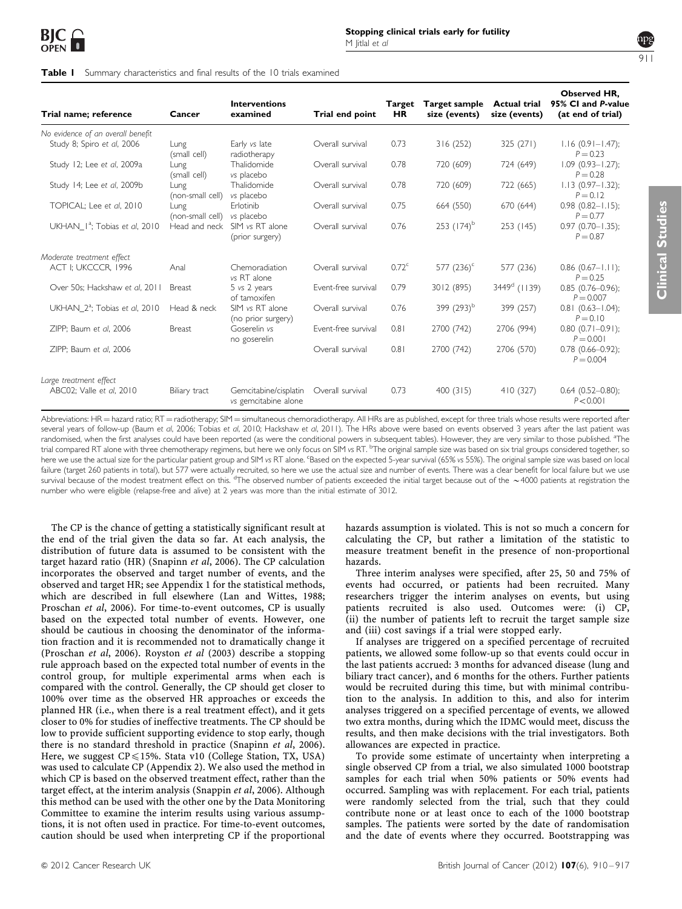## <span id="page-1-0"></span>Table I Summary characteristics and final results of the 10 trials examined

| Trial name; reference                              | Cancer                   | <b>Interventions</b><br>examined              | Trial end point     | <b>Target</b><br><b>HR</b> | Target sample<br>size (events) | <b>Actual trial</b><br>size (events) | <b>Observed HR.</b><br>95% CI and P-value<br>(at end of trial) |
|----------------------------------------------------|--------------------------|-----------------------------------------------|---------------------|----------------------------|--------------------------------|--------------------------------------|----------------------------------------------------------------|
| No evidence of an overall benefit                  |                          |                                               |                     |                            |                                |                                      |                                                                |
| Study 8; Spiro et al, 2006                         | Lung<br>(small cell)     | Early vs late<br>radiotherapy                 | Overall survival    | 0.73                       | 316(252)                       | 325 (271)                            | $1.16(0.91 - 1.47)$<br>$P = 0.23$                              |
| Study 12; Lee et al, 2009a                         | Lung<br>(small cell)     | <b>Thalidomide</b><br>vs placebo              | Overall survival    | 0.78                       | 720 (609)                      | 724 (649)                            | $1.09$ (0.93-1.27);<br>$P = 0.28$                              |
| Study 14; Lee et al, 2009b                         | Lung<br>(non-small cell) | Thalidomide<br>vs placebo                     | Overall survival    | 0.78                       | 720 (609)                      | 722 (665)                            | $1.13$ (0.97-1.32);<br>$P = 0.12$                              |
| TOPICAL; Lee et al, 2010                           | Lung<br>(non-small cell) | Erlotinib<br>vs placebo                       | Overall survival    | 0.75                       | 664 (550)                      | 670 (644)                            | $0.98$ $(0.82 - 1.15)$ ;<br>$P = 0.77$                         |
| UKHAN 1 <sup>a</sup> ; Tobias et al, 2010          | Head and neck            | SIM vs RT alone<br>(prior surgery)            | Overall survival    | 0.76                       | 253 $(174)^b$                  | 253(145)                             | $0.97$ $(0.70 - 1.35)$ ;<br>$P = 0.87$                         |
| Moderate treatment effect                          |                          |                                               |                     |                            |                                |                                      |                                                                |
| ACT I; UKCCCR, 1996                                | Anal                     | Chemoradiation<br>vs RT alone                 | Overall survival    | 0.72 <sup>c</sup>          | 577 $(236)^c$                  | 577 (236)                            | $0.86$ (0.67-1.11);<br>$P = 0.25$                              |
| Over 50s; Hackshaw et al, 2011                     | Breast                   | 5 vs 2 years<br>of tamoxifen                  | Event-free survival | 0.79                       | 3012 (895)                     | 3449 <sup>d</sup> (1139)             | $0.85(0.76 - 0.96);$<br>$P = 0.007$                            |
| UKHAN 2 <sup>a</sup> ; Tobias et al, 2010          | Head & neck              | SIM vs RT alone<br>(no prior surgery)         | Overall survival    | 0.76                       | 399 $(293)^b$                  | 399 (257)                            | $0.81$ $(0.63 - 1.04)$ ;<br>$P = 0.10$                         |
| ZIPP; Baum et al, 2006                             | <b>Breast</b>            | Goserelin vs<br>no goserelin                  | Event-free survival | 0.81                       | 2700 (742)                     | 2706 (994)                           | $0.80$ (0.71-0.91);<br>$P = 0.001$                             |
| ZIPP; Baum et al, 2006                             |                          |                                               | Overall survival    | 0.81                       | 2700 (742)                     | 2706 (570)                           | $0.78$ $(0.66 - 0.92)$ ;<br>$P = 0.004$                        |
| Large treatment effect<br>ABC02; Valle et al, 2010 | Biliary tract            | Gemcitabine/cisplatin<br>vs gemcitabine alone | Overall survival    | 0.73                       | 400(315)                       | 410 (327)                            | $0.64$ (0.52-0.80);<br>P < 0.001                               |

Abbreviations:  $HR =$  hazard ratio;  $RT =$  radiotherapy;  $SIM =$  simultaneous chemoradiotherapy. All HRs are as published, except for three trials whose results were reported after several years of follow-up (Baum et al[, 2006](#page-6-0); [Tobias](#page-6-0) et al, 2010; [Hackshaw](#page-6-0) et al, 2011). The HRs above were based on events observed 3 years after the last patient was randomised, when the first analyses could have been reported (as were the conditional powers in subsequent tables). However, they are very similar to those published. <sup>a</sup>The trial compared RT alone with three chemotherapy regimens, but here we only focus on SIM vs RT. <sup>b</sup>The original sample size was based on six trial groups considered together, so here we use the actual size for the particular patient group and SIM vs RT alone. "Based on the expected 5-year survival (65% vs 55%). The original sample size was based on local failure (target 260 patients in total), but 577 were actually recruited, so here we use the actual size and number of events. There was a clear benefit for local failure but we use survival because of the modest treatment effect on this. <sup>d</sup>The observed number of patients exceeded the initial target because out of the  $\sim$ 4000 patients at registration the number who were eligible (relapse-free and alive) at 2 years was more than the initial estimate of 3012.

The CP is the chance of getting a statistically significant result at the end of the trial given the data so far. At each analysis, the distribution of future data is assumed to be consistent with the target hazard ratio (HR) [\(Snapinn](#page-6-0) et al, 2006). The CP calculation incorporates the observed and target number of events, and the observed and target HR; see Appendix 1 for the statistical methods, which are described in full elsewhere [\(Lan and Wittes, 1988;](#page-6-0) [Proschan](#page-6-0) et al, 2006). For time-to-event outcomes, CP is usually based on the expected total number of events. However, one should be cautious in choosing the denominator of the information fraction and it is recommended not to dramatically change it [\(Proschan](#page-6-0) et al, 2006). [Royston](#page-6-0) et al (2003) describe a stopping rule approach based on the expected total number of events in the control group, for multiple experimental arms when each is compared with the control. Generally, the CP should get closer to 100% over time as the observed HR approaches or exceeds the planned HR (i.e., when there is a real treatment effect), and it gets closer to 0% for studies of ineffective treatments. The CP should be low to provide sufficient supporting evidence to stop early, though there is no standard threshold in practice ([Snapinn](#page-6-0) et al, 2006). Here, we suggest  $\text{CP} \leq 15\%$ . Stata v10 (College Station, TX, USA) was used to calculate CP (Appendix 2). We also used the method in which CP is based on the observed treatment effect, rather than the target effect, at the interim analysis [\(Snappin](#page-6-0) et al, 2006). Although this method can be used with the other one by the Data Monitoring Committee to examine the interim results using various assumptions, it is not often used in practice. For time-to-event outcomes, caution should be used when interpreting CP if the proportional

hazards assumption is violated. This is not so much a concern for calculating the CP, but rather a limitation of the statistic to measure treatment benefit in the presence of non-proportional hazards.

Three interim analyses were specified, after 25, 50 and 75% of events had occurred, or patients had been recruited. Many researchers trigger the interim analyses on events, but using patients recruited is also used. Outcomes were: (i) CP, (ii) the number of patients left to recruit the target sample size and (iii) cost savings if a trial were stopped early.

If analyses are triggered on a specified percentage of recruited patients, we allowed some follow-up so that events could occur in the last patients accrued: 3 months for advanced disease (lung and biliary tract cancer), and 6 months for the others. Further patients would be recruited during this time, but with minimal contribution to the analysis. In addition to this, and also for interim analyses triggered on a specified percentage of events, we allowed two extra months, during which the IDMC would meet, discuss the results, and then make decisions with the trial investigators. Both allowances are expected in practice.

To provide some estimate of uncertainty when interpreting a single observed CP from a trial, we also simulated 1000 bootstrap samples for each trial when 50% patients or 50% events had occurred. Sampling was with replacement. For each trial, patients were randomly selected from the trial, such that they could contribute none or at least once to each of the 1000 bootstrap samples. The patients were sorted by the date of randomisation and the date of events where they occurred. Bootstrapping was

911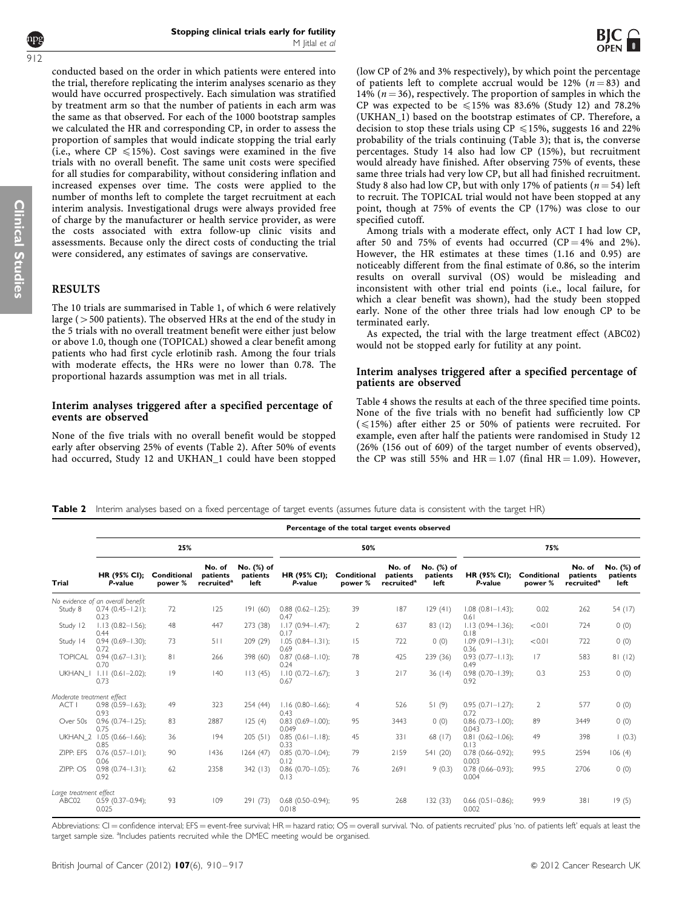

<span id="page-2-0"></span>conducted based on the order in which patients were entered into the trial, therefore replicating the interim analyses scenario as they would have occurred prospectively. Each simulation was stratified by treatment arm so that the number of patients in each arm was the same as that observed. For each of the 1000 bootstrap samples we calculated the HR and corresponding CP, in order to assess the proportion of samples that would indicate stopping the trial early (i.e., where CP  $\leq 15\%$ ). Cost savings were examined in the five trials with no overall benefit. The same unit costs were specified for all studies for comparability, without considering inflation and increased expenses over time. The costs were applied to the number of months left to complete the target recruitment at each interim analysis. Investigational drugs were always provided free of charge by the manufacturer or health service provider, as were the costs associated with extra follow-up clinic visits and assessments. Because only the direct costs of conducting the trial were considered, any estimates of savings are conservative.

# RESULTS

The 10 trials are summarised in [Table 1,](#page-1-0) of which 6 were relatively large (>500 patients). The observed HRs at the end of the study in the 5 trials with no overall treatment benefit were either just below or above 1.0, though one (TOPICAL) showed a clear benefit among patients who had first cycle erlotinib rash. Among the four trials with moderate effects, the HRs were no lower than 0.78. The proportional hazards assumption was met in all trials.

## Interim analyses triggered after a specified percentage of events are observed

None of the five trials with no overall benefit would be stopped early after observing 25% of events (Table 2). After 50% of events had occurred, Study 12 and UKHAN\_1 could have been stopped (low CP of 2% and 3% respectively), by which point the percentage of patients left to complete accrual would be 12%  $(n = 83)$  and 14% ( $n = 36$ ), respectively. The proportion of samples in which the CP was expected to be  $\leq 15\%$  was 83.6% (Study 12) and 78.2% (UKHAN\_1) based on the bootstrap estimates of CP. Therefore, a decision to stop these trials using CP  $\leq$  15%, suggests 16 and 22% probability of the trials continuing ([Table 3\)](#page-3-0); that is, the converse percentages. Study 14 also had low CP (15%), but recruitment would already have finished. After observing 75% of events, these same three trials had very low CP, but all had finished recruitment. Study 8 also had low CP, but with only 17% of patients ( $n = 54$ ) left to recruit. The TOPICAL trial would not have been stopped at any point, though at 75% of events the CP (17%) was close to our specified cutoff.

Among trials with a moderate effect, only ACT I had low CP, after 50 and 75% of events had occurred (CP = 4% and 2%). However, the HR estimates at these times (1.16 and 0.95) are noticeably different from the final estimate of 0.86, so the interim results on overall survival (OS) would be misleading and inconsistent with other trial end points (i.e., local failure, for which a clear benefit was shown), had the study been stopped early. None of the other three trials had low enough CP to be terminated early.

As expected, the trial with the large treatment effect (ABC02) would not be stopped early for futility at any point.

## Interim analyses triggered after a specified percentage of patients are observed

[Table 4](#page-4-0) shows the results at each of the three specified time points. None of the five trials with no benefit had sufficiently low CP  $(\leq 15\%)$  after either 25 or 50% of patients were recruited. For example, even after half the patients were randomised in Study 12 (26% (156 out of 609) of the target number of events observed), the CP was still 55% and  $HR = 1.07$  (final  $HR = 1.09$ ). However,

Table 2 Interim analyses based on a fixed percentage of target events (assumes future data is consistent with the target HR)

|                                 |                                   |                        |                                              |                                | Percentage of the total target events observed |                        |                                              |                                |                                  |                        |                                              |                                |  |
|---------------------------------|-----------------------------------|------------------------|----------------------------------------------|--------------------------------|------------------------------------------------|------------------------|----------------------------------------------|--------------------------------|----------------------------------|------------------------|----------------------------------------------|--------------------------------|--|
|                                 |                                   | 25%                    |                                              |                                |                                                | 50%                    |                                              |                                |                                  | 75%                    |                                              |                                |  |
| Trial                           | HR (95% CI);<br>P-value           | Conditional<br>power % | No. of<br>patients<br>recruited <sup>a</sup> | No. (%) of<br>patients<br>left | HR (95% CI);<br>P-value                        | Conditional<br>power % | No. of<br>patients<br>recruited <sup>a</sup> | No. (%) of<br>patients<br>left | <b>HR (95% CI);</b><br>P-value   | Conditional<br>power % | No. of<br>patients<br>recruited <sup>a</sup> | No. (%) of<br>patients<br>left |  |
|                                 | No evidence of an overall benefit |                        |                                              |                                |                                                |                        |                                              |                                |                                  |                        |                                              |                                |  |
| Study 8                         | $0.74$ (0.45-1.21);<br>0.23       | 72                     | 125                                          | 191(60)                        | $0.88$ (0.62-1.25);<br>0.47                    | 39                     | 187                                          | 129(41)                        | $1.08$ (0.8 $-1.43$ );<br>0.61   | 0.02                   | 262                                          | 54 (17)                        |  |
| Study 12                        | $1.13(0.82 - 1.56)$ ;<br>0.44     | 48                     | 447                                          | 273 (38)                       | $1.17(0.94 - 1.47);$<br>0.17                   | $\overline{2}$         | 637                                          | 83(12)                         | $1.13(0.94 - 1.36);$<br>0.18     | < 0.01                 | 724                                          | 0(0)                           |  |
| Study 14                        | $0.94$ (0.69-1.30);<br>0.72       | 73                     | 511                                          | 209 (29)                       | $1.05(0.84 - 1.31);$<br>0.69                   | 15                     | 722                                          | 0(0)                           | $1.09(0.91 - 1.31);$<br>0.36     | < 0.01                 | 722                                          | 0(0)                           |  |
| <b>TOPICAL</b>                  | $0.94$ (0.67-1.31);<br>0.70       | 8 <sub>1</sub>         | 266                                          | 398 (60)                       | $0.87(0.68 - 1.10);$<br>0.24                   | 78                     | 425                                          | 239 (36)                       | $0.93$ $(0.77 - 1.13)$ ;<br>0.49 | 17                     | 583                                          | 81(12)                         |  |
| UKHAN I                         | $1.11(0.61 - 2.02);$<br>0.73      | 9                      | 40                                           | 113(45)                        | $1.10(0.72 - 1.67)$ ;<br>0.67                  | 3                      | 217                                          | 36(14)                         | $0.98$ (0.70-1.39);<br>0.92      | 0.3                    | 253                                          | 0(0)                           |  |
| Moderate treatment effect       |                                   |                        |                                              |                                |                                                |                        |                                              |                                |                                  |                        |                                              |                                |  |
| ACT I                           | $0.98$ $(0.59 - 1.63)$ ;<br>0.93  | 49                     | 323                                          | 254 (44)                       | $1.16$ (0.80-1.66);<br>0.43                    | $\overline{4}$         | 526                                          | 51(9)                          | $0.95(0.71 - 1.27);$<br>0.72     | $\overline{2}$         | 577                                          | 0(0)                           |  |
| Over 50s                        | $0.96$ (0.74-1.25);<br>0.75       | 83                     | 2887                                         | 125(4)                         | $0.83$ (0.69-1.00);<br>0.049                   | 95                     | 3443                                         | 0(0)                           | $0.86$ (0.73-1.00);<br>0.043     | 89                     | 3449                                         | 0(0)                           |  |
|                                 | UKHAN_2 1.05 (0.66-1.66);<br>0.85 | 36                     | 194                                          | 205(51)                        | $0.85$ (0.61-1.18);<br>0.33                    | 45                     | 331                                          | 68 (17)                        | $0.81(0.62 - 1.06);$<br>0.13     | 49                     | 398                                          | (0.3)                          |  |
| ZIPP: EFS                       | $0.76$ (0.57-1.01);<br>0.06       | 90                     | 1436                                         | 1264 (47)                      | $0.85(0.70 - 1.04);$<br>0.12                   | 79                     | 2159                                         | 541 (20)                       | $0.78$ (0.66-0.92);<br>0.003     | 99.5                   | 2594                                         | 106(4)                         |  |
| ZIPP: OS                        | $0.98$ $(0.74 - 1.31)$ ;<br>0.92  | 62                     | 2358                                         | 342(13)                        | $0.86$ (0.70-1.05);<br>0.13                    | 76                     | 2691                                         | 9(0.3)                         | $0.78$ (0.66-0.93);<br>0.004     | 99.5                   | 2706                                         | 0(0)                           |  |
| Large treatment effect<br>ABC02 | $0.59$ (0.37-0.94);<br>0.025      | 93                     | 109                                          | 291(73)                        | $0.68$ (0.50-0.94);<br>0.018                   | 95                     | 268                                          | 132(33)                        | $0.66$ (0.51-0.86);<br>0.002     | 99.9                   | 381                                          | 19(5)                          |  |

Abbreviations: CI = confidence interval; EFS = event-free survival; HR = hazard ratio; OS = overall survival. 'No. of patients recruited' plus 'no. of patients left' equals at least the target sample size. <sup>a</sup>Includes patients recruited while the DMEC meeting would be organised.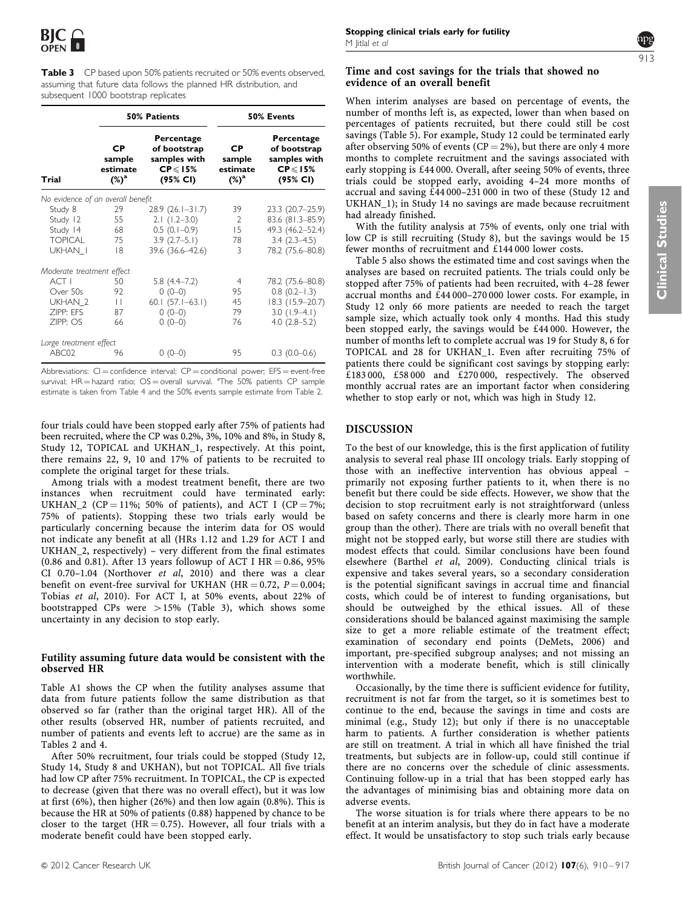<span id="page-3-0"></span>

|                                   |                                             | 50% Patients                                                                        | 50% Events                                  |                                                                        |  |  |  |  |
|-----------------------------------|---------------------------------------------|-------------------------------------------------------------------------------------|---------------------------------------------|------------------------------------------------------------------------|--|--|--|--|
| Trial                             | CP.<br>sample<br>estimate<br>$(\%)^{\rm a}$ | Percentage<br>of bootstrap<br>samples with<br>$\text{CP} \leqslant$ 15%<br>(95% CI) | CP.<br>sample<br>estimate<br>$(\%)^{\rm a}$ | Percentage<br>of bootstrap<br>samples with<br>$CP \le 15%$<br>(95% CI) |  |  |  |  |
| No evidence of an overall benefit |                                             |                                                                                     |                                             |                                                                        |  |  |  |  |
| Study 8                           | 29                                          | $28.9(26.1-31.7)$                                                                   | 39                                          | 23.3 (20.7-25.9)                                                       |  |  |  |  |
| Study 12                          | 55                                          | $2.1(1.2-3.0)$                                                                      | $\mathcal{D}$                               | 83.6 (81.3-85.9)                                                       |  |  |  |  |
| Study 14                          | 68                                          | $0.5(0.1-0.9)$                                                                      | 15                                          | 49.3 (46.2-52.4)                                                       |  |  |  |  |
| <b>TOPICAL</b>                    | 75                                          | $3.9(2.7-5.1)$                                                                      | 78                                          | $3.4(2.3-4.5)$                                                         |  |  |  |  |
| <b>UKHAN I</b>                    | 8                                           | 39.6 (36.6-42.6)                                                                    | 3                                           | 78.2 (75.6-80.8)                                                       |  |  |  |  |
| Moderate treatment effect         |                                             |                                                                                     |                                             |                                                                        |  |  |  |  |
| ACTI                              | 50                                          | $5.8(4.4-7.2)$                                                                      | $\overline{4}$                              | 78.2 (75.6–80.8)                                                       |  |  |  |  |
| Over 50s                          | 92                                          | $0(0-0)$                                                                            | 95                                          | $0.8$ $(0.2 - 1.3)$                                                    |  |  |  |  |
| UKHAN <sub>2</sub>                | $\perp$                                     | $60.1(57.1-63.1)$                                                                   | 45                                          | 18.3 (15.9-20.7)                                                       |  |  |  |  |
| ZIPP: EFS                         | 87                                          | $0(0-0)$                                                                            | 79                                          | $3.0$ (1.9–4.1)                                                        |  |  |  |  |
| ZIPP: OS                          | 66                                          | $0(0-0)$                                                                            | 76                                          | $4.0(2.8-5.2)$                                                         |  |  |  |  |
| Large treatment effect            |                                             |                                                                                     |                                             |                                                                        |  |  |  |  |
| ABC02                             | 96                                          | $0(0-0)$                                                                            | 95                                          | $0.3(0.0-0.6)$                                                         |  |  |  |  |

Abbreviations:  $Cl =$  confidence interval;  $CP =$  conditional power;  $EFS =$  event-free survival;  $HR =$  hazard ratio;  $OS =$  overall survival.  $^{a}$ The  $50\%$  patients CP sample estimate is taken from [Table 4](#page-4-0) and the 50% events sample estimate from [Table 2.](#page-2-0)

four trials could have been stopped early after 75% of patients had been recruited, where the CP was 0.2%, 3%, 10% and 8%, in Study 8, Study 12, TOPICAL and UKHAN\_1, respectively. At this point, there remains 22, 9, 10 and 17% of patients to be recruited to complete the original target for these trials.

Among trials with a modest treatment benefit, there are two instances when recruitment could have terminated early: UKHAN\_2 (CP = 11%; 50% of patients), and ACT I (CP = 7%; 75% of patients). Stopping these two trials early would be particularly concerning because the interim data for OS would not indicate any benefit at all (HRs 1.12 and 1.29 for ACT I and UKHAN\_2, respectively) – very different from the final estimates (0.86 and 0.81). After 13 years followup of ACT I HR = 0.86, 95% CI 0.70–1.04 [\(Northover](#page-6-0) et al, 2010) and there was a clear benefit on event-free survival for UKHAN (HR = 0.72,  $P = 0.004$ ; Tobias et al[, 2010\)](#page-6-0). For ACT I, at 50% events, about 22% of bootstrapped CPs were  $>15%$  (Table 3), which shows some uncertainty in any decision to stop early.

## Futility assuming future data would be consistent with the observed HR

Table A1 shows the CP when the futility analyses assume that data from future patients follow the same distribution as that observed so far (rather than the original target HR). All of the other results (observed HR, number of patients recruited, and number of patients and events left to accrue) are the same as in [Tables 2 and 4](#page-2-0).

After 50% recruitment, four trials could be stopped (Study 12, Study 14, Study 8 and UKHAN), but not TOPICAL. All five trials had low CP after 75% recruitment. In TOPICAL, the CP is expected to decrease (given that there was no overall effect), but it was low at first (6%), then higher (26%) and then low again (0.8%). This is because the HR at 50% of patients (0.88) happened by chance to be closer to the target ( $HR = 0.75$ ). However, all four trials with a moderate benefit could have been stopped early.

## Time and cost savings for the trials that showed no evidence of an overall benefit

When interim analyses are based on percentage of events, the number of months left is, as expected, lower than when based on percentages of patients recruited, but there could still be cost savings ([Table 5\)](#page-4-0). For example, Study 12 could be terminated early after observing 50% of events ( $CP = 2\%$ ), but there are only 4 more months to complete recruitment and the savings associated with early stopping is  $£44\,000$ . Overall, after seeing 50% of events, three trials could be stopped early, avoiding 4–24 more months of accrual and saving  $\hat{\text{t}}44000-231000$  in two of these (Study 12 and UKHAN\_1); in Study 14 no savings are made because recruitment had already finished.

With the futility analysis at 75% of events, only one trial with low CP is still recruiting (Study 8), but the savings would be 15 fewer months of recruitment and  $£144 000$  lower costs.

[Table 5](#page-4-0) also shows the estimated time and cost savings when the analyses are based on recruited patients. The trials could only be stopped after 75% of patients had been recruited, with 4–28 fewer accrual months and  $£44 000-270 000$  lower costs. For example, in Study 12 only 66 more patients are needed to reach the target sample size, which actually took only 4 months. Had this study been stopped early, the savings would be  $£44 000$ . However, the number of months left to complete accrual was 19 for Study 8, 6 for TOPICAL and 28 for UKHAN\_1. Even after recruiting 75% of patients there could be significant cost savings by stopping early: £183 000, £58 000 and £270 000, respectively. The observed monthly accrual rates are an important factor when considering whether to stop early or not, which was high in Study 12.

# DISCUSSION

To the best of our knowledge, this is the first application of futility analysis to several real phase III oncology trials. Early stopping of those with an ineffective intervention has obvious appeal – primarily not exposing further patients to it, when there is no benefit but there could be side effects. However, we show that the decision to stop recruitment early is not straightforward (unless based on safety concerns and there is clearly more harm in one group than the other). There are trials with no overall benefit that might not be stopped early, but worse still there are studies with modest effects that could. Similar conclusions have been found elsewhere [\(Barthel](#page-6-0) et al, 2009). Conducting clinical trials is expensive and takes several years, so a secondary consideration is the potential significant savings in accrual time and financial costs, which could be of interest to funding organisations, but should be outweighed by the ethical issues. All of these considerations should be balanced against maximising the sample size to get a more reliable estimate of the treatment effect; examination of secondary end points ([DeMets, 2006](#page-6-0)) and important, pre-specified subgroup analyses; and not missing an intervention with a moderate benefit, which is still clinically worthwhile.

Occasionally, by the time there is sufficient evidence for futility, recruitment is not far from the target, so it is sometimes best to continue to the end, because the savings in time and costs are minimal (e.g., Study 12); but only if there is no unacceptable harm to patients. A further consideration is whether patients are still on treatment. A trial in which all have finished the trial treatments, but subjects are in follow-up, could still continue if there are no concerns over the schedule of clinic assessments. Continuing follow-up in a trial that has been stopped early has the advantages of minimising bias and obtaining more data on adverse events.

The worse situation is for trials where there appears to be no benefit at an interim analysis, but they do in fact have a moderate effect. It would be unsatisfactory to stop such trials early because

913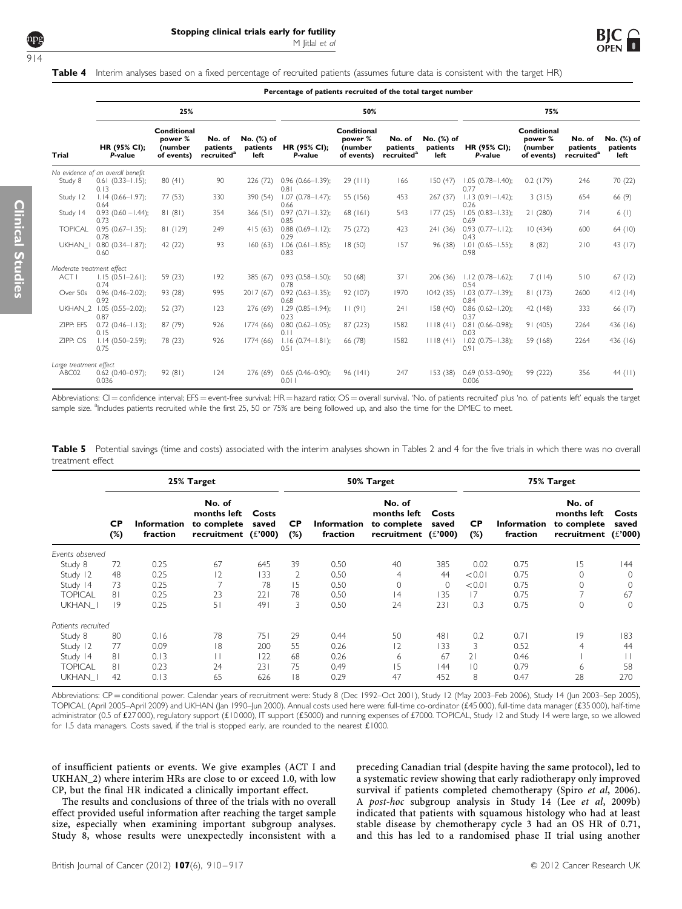Clinical Studies

M Jitlal et al



<span id="page-4-0"></span>Table 4 Interim analyses based on a fixed percentage of recruited patients (assumes future data is consistent with the target HR)

|                           |                                   |                                                 |                                              |                                | Percentage of patients recruited of the total target number |                                                 |                                              |                                |                                  |                                                 |                                              |                                |  |
|---------------------------|-----------------------------------|-------------------------------------------------|----------------------------------------------|--------------------------------|-------------------------------------------------------------|-------------------------------------------------|----------------------------------------------|--------------------------------|----------------------------------|-------------------------------------------------|----------------------------------------------|--------------------------------|--|
|                           |                                   | 25%                                             |                                              |                                |                                                             | 50%                                             |                                              |                                | 75%                              |                                                 |                                              |                                |  |
| Trial                     | HR (95% CI);<br>P-value           | Conditional<br>power %<br>(number<br>of events) | No. of<br>patients<br>recruited <sup>a</sup> | No. (%) of<br>patients<br>left | HR (95% CI);<br>P-value                                     | Conditional<br>power %<br>(number<br>of events) | No. of<br>patients<br>recruited <sup>a</sup> | No. (%) of<br>patients<br>left | HR (95% CI);<br>P-value          | Conditional<br>power %<br>(number<br>of events) | No. of<br>patients<br>recruited <sup>a</sup> | No. (%) of<br>patients<br>left |  |
|                           | No evidence of an overall benefit |                                                 |                                              |                                |                                                             |                                                 |                                              |                                |                                  |                                                 |                                              |                                |  |
| Study 8                   | $0.61(0.33 - 1.15);$<br>0.13      | 80(41)                                          | 90                                           | 226 (72)                       | $0.96$ (0.66-1.39);<br>0.81                                 | $29$ (111)                                      | 166                                          | 150(47)                        | $1.05(0.78 - 1.40);$<br>0.77     | $0.2$ (179)                                     | 246                                          | 70 (22)                        |  |
| Study 12                  | $1.14(0.66 - 1.97)$ ;<br>0.64     | 77 (53)                                         | 330                                          | 390 (54)                       | $1.07$ (0.78-1.47);<br>0.66                                 | 55 (156)                                        | 453                                          | 267(37)                        | $1.13(0.91 - 1.42)$ ;<br>0.26    | 3(315)                                          | 654                                          | 66 (9)                         |  |
| Study 14                  | $0.93$ (0.60 -1.44);<br>0.73      | 81(81)                                          | 354                                          | 366(51)                        | $0.97(0.71 - 1.32);$<br>0.85                                | 68 (161)                                        | 543                                          | 177(25)                        | $1.05(0.83 - 1.33);$<br>0.69     | 21(280)                                         | 714                                          | 6(1)                           |  |
| <b>TOPICAL</b>            | $0.95(0.67 - 1.35);$<br>0.78      | 81 (129)                                        | 249                                          | 415(63)                        | $0.88$ $(0.69 - 1.12)$ ;<br>0.29                            | 75 (272)                                        | 423                                          | 241(36)                        | $0.93(0.77 - 1.12);$<br>0.43     | 10(434)                                         | 600                                          | 64 (10)                        |  |
| UKHAN I                   | $0.80(0.34 - 1.87);$<br>0.60      | 42 (22)                                         | 93                                           | 160(63)                        | $1.06$ (0.61-1.85);<br>0.83                                 | 18(50)                                          | 157                                          | 96 (38)                        | $1.01(0.65 - 1.55);$<br>0.98     | 8(82)                                           | 210                                          | 43 (17)                        |  |
| Moderate treatment effect |                                   |                                                 |                                              |                                |                                                             |                                                 |                                              |                                |                                  |                                                 |                                              |                                |  |
| ACT I                     | $1.15(0.51 - 2.61);$<br>0.74      | 59 (23)                                         | 192                                          | 385 (67)                       | $0.93$ $(0.58 - 1.50)$ ;<br>0.78                            | 50(68)                                          | 371                                          | 206 (36)                       | $1.12$ (0.78-1.62);<br>0.54      | 7(114)                                          | 510                                          | 67(12)                         |  |
| Over 50s                  | $0.96$ (0.46-2.02);<br>0.92       | 93 (28)                                         | 995                                          | 2017 (67)                      | $0.92$ (0.63-1.35);<br>0.68                                 | 92 (107)                                        | 1970                                         | 1042(35)                       | $1.03$ $(0.77 - 1.39)$ ;<br>0.84 | 81(173)                                         | 2600                                         | 412(14)                        |  |
|                           | UKHAN 2 1.05 (0.55-2.02);<br>0.87 | 52 (37)                                         | 123                                          | 276 (69)                       | $1.29$ (0.85-1.94);<br>0.23                                 | 11(91)                                          | 241                                          | 158(40)                        | $0.86$ $(0.62 - 1.20)$ ;<br>0.37 | 42 (148)                                        | 333                                          | 66 (17)                        |  |
| ZIPP: EFS                 | $0.72$ $(0.46 - 1.13)$ ;<br>0.15  | 87 (79)                                         | 926                                          | 1774 (66)                      | $0.80(0.62 - 1.05);$<br>0.11                                | 87 (223)                                        | 1582                                         | 1118(41)                       | $0.81$ (0.66-0.98);<br>0.03      | 91(405)                                         | 2264                                         | 436 (16)                       |  |
| ZIPP: OS                  | $1.14(0.50 - 2.59)$ ;<br>0.75     | 78 (23)                                         | 926                                          | 1774(66)                       | $1.16$ (0.74-1.81);<br>0.51                                 | 66 (78)                                         | 1582                                         | 1118(41)                       | $1.02$ (0.75-1.38);<br>0.91      | 59 (168)                                        | 2264                                         | 436 (16)                       |  |
| Large treatment effect    |                                   |                                                 |                                              |                                |                                                             |                                                 |                                              |                                |                                  |                                                 |                                              |                                |  |
| ABC02                     | $0.62$ (0.40-0.97);<br>0.036      | 92(81)                                          | 124                                          | 276 (69)                       | $0.65$ (0.46-0.90);<br>0.011                                | 96 (141)                                        | 247                                          | 153(38)                        | $0.69$ (0.53-0.90);<br>0.006     | 99 (222)                                        | 356                                          | 44 $(11)$                      |  |

Abbreviations: CI = confidence interval; EFS = event-free survival; HR = hazard ratio; OS = overall survival. 'No. of patients recruited' plus 'no. of patients left' equals the target sample size. <sup>a</sup>Includes patients recruited while the first 25, 50 or 75% are being followed up, and also the time for the DMEC to meet.

|                  | Table 5 Potential savings (time and costs) associated with the interim analyses shown in Tables 2 and 4 for the five trials in which there was no overal |  |  |  |  |  |  |
|------------------|----------------------------------------------------------------------------------------------------------------------------------------------------------|--|--|--|--|--|--|
| treatment effect |                                                                                                                                                          |  |  |  |  |  |  |

|                    | 25% Target          |                                |                                                             |                |                     | 50% Target              |                                                               |                |                 | 75% Target                     |                                                               |                |  |
|--------------------|---------------------|--------------------------------|-------------------------------------------------------------|----------------|---------------------|-------------------------|---------------------------------------------------------------|----------------|-----------------|--------------------------------|---------------------------------------------------------------|----------------|--|
|                    | <b>CP</b><br>$(\%)$ | <b>Information</b><br>fraction | No. of<br>months left<br>to complete<br>recruitment (£'000) | Costs<br>saved | <b>CP</b><br>$(\%)$ | Information<br>fraction | No. of<br>months left<br>to complete<br>recruitment $(f'000)$ | Costs<br>saved | СP<br>(%)       | <b>Information</b><br>fraction | No. of<br>months left<br>to complete<br>recruitment $(f'000)$ | Costs<br>saved |  |
| Events observed    |                     |                                |                                                             |                |                     |                         |                                                               |                |                 |                                |                                                               |                |  |
| Study 8            | 72                  | 0.25                           | 67                                                          | 645            | 39                  | 0.50                    | 40                                                            | 385            | 0.02            | 0.75                           | 15                                                            | 44             |  |
| Study 12           | 48                  | 0.25                           | 12                                                          | 133            | 2                   | 0.50                    | 4                                                             | 44             | < 0.01          | 0.75                           | 0                                                             | $\Omega$       |  |
| Study 14           | 73                  | 0.25                           |                                                             | 78             | 15                  | 0.50                    | 0                                                             | $\circ$        | < 0.01          | 0.75                           | 0                                                             | 0              |  |
| <b>TOPICAL</b>     | 81                  | 0.25                           | 23                                                          | 221            | 78                  | 0.50                    | 4                                                             | 135            | 17              | 0.75                           |                                                               | 67             |  |
| UKHAN_I            | 19                  | 0.25                           | 51                                                          | 491            | 3                   | 0.50                    | 24                                                            | 231            | 0.3             | 0.75                           | 0                                                             | 0              |  |
| Patients recruited |                     |                                |                                                             |                |                     |                         |                                                               |                |                 |                                |                                                               |                |  |
| Study 8            | 80                  | 0.16                           | 78                                                          | 751            | 29                  | 0.44                    | 50                                                            | 481            | 0.2             | 0.71                           | 9                                                             | 183            |  |
| Study 12           | 77                  | 0.09                           | 8                                                           | 200            | 55                  | 0.26                    | 12                                                            | 133            | 3               | 0.52                           |                                                               | 44             |  |
| Study 14           | 81                  | 0.13                           |                                                             | 122            | 68                  | 0.26                    | 6                                                             | 67             | 21              | 0.46                           |                                                               |                |  |
| <b>TOPICAL</b>     | 81                  | 0.23                           | 24                                                          | 231            | 75                  | 0.49                    | 15                                                            | 144            | $\overline{10}$ | 0.79                           | ь                                                             | 58             |  |
| UKHAN              | 42                  | 0.13                           | 65                                                          | 626            | 18                  | 0.29                    | 47                                                            | 452            | 8               | 0.47                           | 28                                                            | 270            |  |

Abbreviations: CP = conditional power. Calendar years of recruitment were: Study 8 (Dec 1992-Oct 2001), Study 12 (May 2003-Feb 2006), Study 14 (Jun 2003-Sep 2005), TOPICAL (April 2005–April 2009) and UKHAN (Jan 1990–Jun 2000). Annual costs used here were: full-time co-ordinator (£45 000), full-time data manager (£35 000), half-time administrator (0.5 of £27 000), regulatory support (£10 000), IT support (£5000) and running expenses of £7000. TOPICAL, Study 12 and Study 14 were large, so we allowed for 1.5 data managers. Costs saved, if the trial is stopped early, are rounded to the nearest  $£1000$ .

of insufficient patients or events. We give examples (ACT I and UKHAN\_2) where interim HRs are close to or exceed 1.0, with low CP, but the final HR indicated a clinically important effect.

The results and conclusions of three of the trials with no overall effect provided useful information after reaching the target sample size, especially when examining important subgroup analyses. Study 8, whose results were unexpectedly inconsistent with a preceding Canadian trial (despite having the same protocol), led to a systematic review showing that early radiotherapy only improved survival if patients completed chemotherapy (Spiro et al[, 2006](#page-6-0)). A post-hoc subgroup analysis in Study 14 (Lee et al[, 2009b](#page-6-0)) indicated that patients with squamous histology who had at least stable disease by chemotherapy cycle 3 had an OS HR of 0.71, and this has led to a randomised phase II trial using another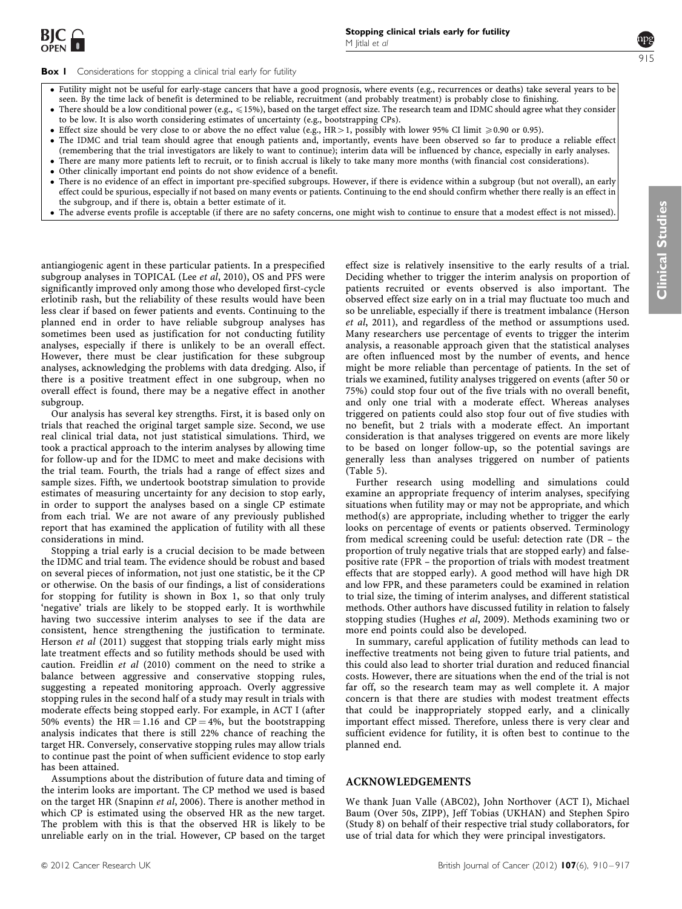**Box I** Considerations for stopping a clinical trial early for futility

- Futility might not be useful for early-stage cancers that have a good prognosis, where events (e.g., recurrences or deaths) take several years to be seen. By the time lack of benefit is determined to be reliable, recruitment (and probably treatment) is probably close to finishing.  $\bullet$  There should be a low conditional power (e.g.,  $\leqslant$  15%), based on the target effect size. The research team and IDMC should agree what they consider
- to be low. It is also worth considering estimates of uncertainty (e.g., bootstrapping CPs).
- Effect size should be very close to or above the no effect value (e.g.,  $HR>1$ , possibly with lower 95% CI limit  $\geqslant 0.90$  or 0.95).
- The IDMC and trial team should agree that enough patients and, importantly, events have been observed so far to produce a reliable effect (remembering that the trial investigators are likely to want to continue); interim data will be influenced by chance, especially in early analyses.
- There are many more patients left to recruit, or to finish accrual is likely to take many more months (with financial cost considerations).
- Other clinically important end points do not show evidence of a benefit.
- There is no evidence of an effect in important pre-specified subgroups. However, if there is evidence within a subgroup (but not overall), an early effect could be spurious, especially if not based on many events or patients. Continuing to the end should confirm whether there really is an effect in the subgroup, and if there is, obtain a better estimate of it.
- The adverse events profile is acceptable (if there are no safety concerns, one might wish to continue to ensure that a modest effect is not missed).

antiangiogenic agent in these particular patients. In a prespecified subgroup analyses in TOPICAL (Lee et al[, 2010](#page-6-0)), OS and PFS were significantly improved only among those who developed first-cycle erlotinib rash, but the reliability of these results would have been less clear if based on fewer patients and events. Continuing to the planned end in order to have reliable subgroup analyses has sometimes been used as justification for not conducting futility analyses, especially if there is unlikely to be an overall effect. However, there must be clear justification for these subgroup analyses, acknowledging the problems with data dredging. Also, if there is a positive treatment effect in one subgroup, when no overall effect is found, there may be a negative effect in another subgroup.

Our analysis has several key strengths. First, it is based only on trials that reached the original target sample size. Second, we use real clinical trial data, not just statistical simulations. Third, we took a practical approach to the interim analyses by allowing time for follow-up and for the IDMC to meet and make decisions with the trial team. Fourth, the trials had a range of effect sizes and sample sizes. Fifth, we undertook bootstrap simulation to provide estimates of measuring uncertainty for any decision to stop early, in order to support the analyses based on a single CP estimate from each trial. We are not aware of any previously published report that has examined the application of futility with all these considerations in mind.

Stopping a trial early is a crucial decision to be made between the IDMC and trial team. The evidence should be robust and based on several pieces of information, not just one statistic, be it the CP or otherwise. On the basis of our findings, a list of considerations for stopping for futility is shown in Box 1, so that only truly 'negative' trials are likely to be stopped early. It is worthwhile having two successive interim analyses to see if the data are consistent, hence strengthening the justification to terminate. [Herson](#page-6-0) et al (2011) suggest that stopping trials early might miss late treatment effects and so futility methods should be used with caution. [Freidlin](#page-6-0) et al (2010) comment on the need to strike a balance between aggressive and conservative stopping rules, suggesting a repeated monitoring approach. Overly aggressive stopping rules in the second half of a study may result in trials with moderate effects being stopped early. For example, in ACT I (after 50% events) the HR = 1.16 and CP = 4%, but the bootstrapping analysis indicates that there is still 22% chance of reaching the target HR. Conversely, conservative stopping rules may allow trials to continue past the point of when sufficient evidence to stop early has been attained.

Assumptions about the distribution of future data and timing of the interim looks are important. The CP method we used is based on the target HR [\(Snapinn](#page-6-0) et al, 2006). There is another method in which CP is estimated using the observed HR as the new target. The problem with this is that the observed HR is likely to be unreliable early on in the trial. However, CP based on the target effect size is relatively insensitive to the early results of a trial. Deciding whether to trigger the interim analysis on proportion of patients recruited or events observed is also important. The observed effect size early on in a trial may fluctuate too much and so be unreliable, especially if there is treatment imbalance ([Herson](#page-6-0) et al[, 2011](#page-6-0)), and regardless of the method or assumptions used. Many researchers use percentage of events to trigger the interim analysis, a reasonable approach given that the statistical analyses are often influenced most by the number of events, and hence might be more reliable than percentage of patients. In the set of trials we examined, futility analyses triggered on events (after 50 or 75%) could stop four out of the five trials with no overall benefit, and only one trial with a moderate effect. Whereas analyses triggered on patients could also stop four out of five studies with no benefit, but 2 trials with a moderate effect. An important consideration is that analyses triggered on events are more likely to be based on longer follow-up, so the potential savings are generally less than analyses triggered on number of patients [\(Table 5\)](#page-4-0).

Further research using modelling and simulations could examine an appropriate frequency of interim analyses, specifying situations when futility may or may not be appropriate, and which method(s) are appropriate, including whether to trigger the early looks on percentage of events or patients observed. Terminology from medical screening could be useful: detection rate (DR – the proportion of truly negative trials that are stopped early) and falsepositive rate (FPR – the proportion of trials with modest treatment effects that are stopped early). A good method will have high DR and low FPR, and these parameters could be examined in relation to trial size, the timing of interim analyses, and different statistical methods. Other authors have discussed futility in relation to falsely stopping studies ([Hughes](#page-6-0) et al, 2009). Methods examining two or more end points could also be developed.

In summary, careful application of futility methods can lead to ineffective treatments not being given to future trial patients, and this could also lead to shorter trial duration and reduced financial costs. However, there are situations when the end of the trial is not far off, so the research team may as well complete it. A major concern is that there are studies with modest treatment effects that could be inappropriately stopped early, and a clinically important effect missed. Therefore, unless there is very clear and sufficient evidence for futility, it is often best to continue to the planned end.

# ACKNOWLEDGEMENTS

We thank Juan Valle (ABC02), John Northover (ACT I), Michael Baum (Over 50s, ZIPP), Jeff Tobias (UKHAN) and Stephen Spiro (Study 8) on behalf of their respective trial study collaborators, for use of trial data for which they were principal investigators.

Clinical Studies

**Clinical Studies**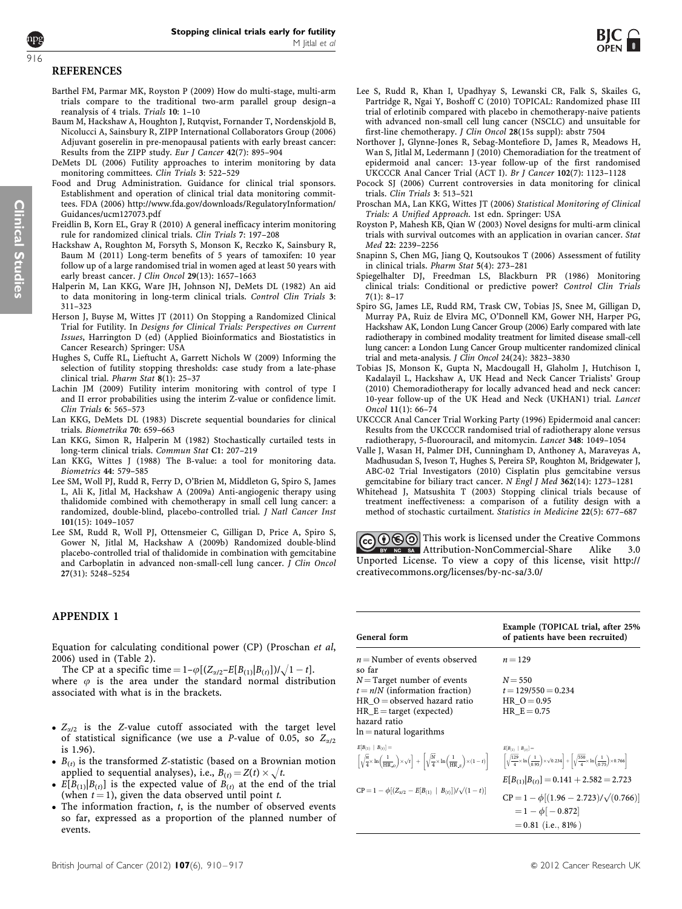#### <span id="page-6-0"></span>**REFERENCES**

- Barthel FM, Parmar MK, Royston P (2009) How do multi-stage, multi-arm trials compare to the traditional two-arm parallel group design–a reanalysis of 4 trials. Trials 10: 1–10
- Baum M, Hackshaw A, Houghton J, Rutqvist, Fornander T, Nordenskjold B, Nicolucci A, Sainsbury R, ZIPP International Collaborators Group (2006) Adjuvant goserelin in pre-menopausal patients with early breast cancer: Results from the ZIPP study. Eur J Cancer 42(7): 895–904
- DeMets DL (2006) Futility approaches to interim monitoring by data monitoring committees. Clin Trials 3: 522–529
- Food and Drug Administration. Guidance for clinical trial sponsors. Establishment and operation of clinical trial data monitoring committees. FDA (2006) [http://www.fda.gov/downloads/RegulatoryInformation/](http://www.fda.gov/downloads/RegulatoryInformation/Guidances/ucm127073.pdf) [Guidances/ucm127073.pdf](http://www.fda.gov/downloads/RegulatoryInformation/Guidances/ucm127073.pdf)
- Freidlin B, Korn EL, Gray R (2010) A general inefficacy interim monitoring rule for randomized clinical trials. Clin Trials 7: 197–208
- Hackshaw A, Roughton M, Forsyth S, Monson K, Reczko K, Sainsbury R, Baum M (2011) Long-term benefits of 5 years of tamoxifen: 10 year follow up of a large randomised trial in women aged at least 50 years with early breast cancer. J Clin Oncol 29(13): 1657-1663
- Halperin M, Lan KKG, Ware JH, Johnson NJ, DeMets DL (1982) An aid to data monitoring in long-term clinical trials. Control Clin Trials 3: 311–323
- Herson J, Buyse M, Wittes JT (2011) On Stopping a Randomized Clinical Trial for Futility. In Designs for Clinical Trials: Perspectives on Current Issues, Harrington D (ed) (Applied Bioinformatics and Biostatistics in Cancer Research) Springer: USA
- Hughes S, Cuffe RL, Lieftucht A, Garrett Nichols W (2009) Informing the selection of futility stopping thresholds: case study from a late-phase clinical trial. Pharm Stat 8(1): 25–37
- Lachin JM (2009) Futility interim monitoring with control of type I and II error probabilities using the interim Z-value or confidence limit. Clin Trials 6: 565–573
- Lan KKG, DeMets DL (1983) Discrete sequential boundaries for clinical trials. Biometrika 70: 659–663
- Lan KKG, Simon R, Halperin M (1982) Stochastically curtailed tests in long-term clinical trials. Commun Stat C1: 207–219
- Lan KKG, Wittes J (1988) The B-value: a tool for monitoring data. Biometrics 44: 579–585
- Lee SM, Woll PJ, Rudd R, Ferry D, O'Brien M, Middleton G, Spiro S, James L, Ali K, Jitlal M, Hackshaw A (2009a) Anti-angiogenic therapy using thalidomide combined with chemotherapy in small cell lung cancer: a randomized, double-blind, placebo-controlled trial. J Natl Cancer Inst 101(15): 1049–1057
- Lee SM, Rudd R, Woll PJ, Ottensmeier C, Gilligan D, Price A, Spiro S, Gower N, Jitlal M, Hackshaw A (2009b) Randomized double-blind placebo-controlled trial of thalidomide in combination with gemcitabine and Carboplatin in advanced non-small-cell lung cancer. J Clin Oncol 27(31): 5248–5254

#### APPENDIX 1

Equation for calculating conditional power (CP) (Proschan et al, 2006) used in ([Table 2\)](#page-2-0).

The CP at a specific time =  $1-\varphi[(Z_{\alpha/2}-E[B_{(1)}|B_{(t)}])/\sqrt{1-t}]$ .

where  $\varphi$  is the area under the standard normal distribution associated with what is in the brackets.

- $Z_{\alpha/2}$  is the Z-value cutoff associated with the target level of statistical significance (we use a P-value of 0.05, so  $Z_{\alpha/2}$ is 1.96).
- $B_{(t)}$  is the transformed Z-statistic (based on a Brownian motion applied to sequential analyses), i.e.,  $B_{(t)} = Z(t) \times \sqrt{t}$ .
- $E[B_{(1)}|B_{(t)}]$  is the expected value of  $B_{(t)}$  at the end of the trial (when  $t = 1$ ), given the data observed until point t.
- The information fraction, t, is the number of observed events so far, expressed as a proportion of the planned number of events.
- Lee S, Rudd R, Khan I, Upadhyay S, Lewanski CR, Falk S, Skailes G, Partridge R, Ngai Y, Boshoff C (2010) TOPICAL: Randomized phase III trial of erlotinib compared with placebo in chemotherapy-naive patients with advanced non-small cell lung cancer (NSCLC) and unsuitable for first-line chemotherapy. J Clin Oncol 28(15s suppl): abstr 7504
- Northover J, Glynne-Jones R, Sebag-Montefiore D, James R, Meadows H, Wan S, Jitlal M, Ledermann J (2010) Chemoradiation for the treatment of epidermoid anal cancer: 13-year follow-up of the first randomised UKCCCR Anal Cancer Trial (ACT I). Br J Cancer 102(7): 1123–1128
- Pocock SJ (2006) Current controversies in data monitoring for clinical trials. Clin Trials 3: 513–521
- Proschan MA, Lan KKG, Wittes JT (2006) Statistical Monitoring of Clinical Trials: A Unified Approach. 1st edn. Springer: USA
- Royston P, Mahesh KB, Qian W (2003) Novel designs for multi-arm clinical trials with survival outcomes with an application in ovarian cancer. Stat Med 22: 2239–2256
- Snapinn S, Chen MG, Jiang Q, Koutsoukos T (2006) Assessment of futility in clinical trials. Pharm Stat 5(4): 273–281
- Spiegelhalter DJ, Freedman LS, Blackburn PR (1986) Monitoring clinical trials: Conditional or predictive power? Control Clin Trials 7(1): 8–17
- Spiro SG, James LE, Rudd RM, Trask CW, Tobias JS, Snee M, Gilligan D, Murray PA, Ruiz de Elvira MC, O'Donnell KM, Gower NH, Harper PG, Hackshaw AK, London Lung Cancer Group (2006) Early compared with late radiotherapy in combined modality treatment for limited disease small-cell lung cancer: a London Lung Cancer Group multicenter randomized clinical trial and meta-analysis. J Clin Oncol 24(24): 3823–3830
- Tobias JS, Monson K, Gupta N, Macdougall H, Glaholm J, Hutchison I, Kadalayil L, Hackshaw A, UK Head and Neck Cancer Trialists' Group (2010) Chemoradiotherapy for locally advanced head and neck cancer: 10-year follow-up of the UK Head and Neck (UKHAN1) trial. Lancet Oncol 11(1): 66–74
- UKCCCR Anal Cancer Trial Working Party (1996) Epidermoid anal cancer: Results from the UKCCCR randomised trial of radiotherapy alone versus radiotherapy, 5-fluorouracil, and mitomycin. Lancet 348: 1049–1054
- Valle J, Wasan H, Palmer DH, Cunningham D, Anthoney A, Maraveyas A, Madhusudan S, Iveson T, Hughes S, Pereira SP, Roughton M, Bridgewater J, ABC-02 Trial Investigators (2010) Cisplatin plus gemcitabine versus gemcitabine for biliary tract cancer. N Engl J Med 362(14): 1273–1281
- Whitehead J, Matsushita T (2003) Stopping clinical trials because of treatment ineffectiveness: a comparison of a futility design with a method of stochastic curtailment. Statistics in Medicine 22(5): 677–687

GO  $\odot$  This work is licensed under the Creative Commons NG SA Attribution-NonCommercial-Share Alike 3.0 Unported License. To view a copy of this license, visit http:// creativecommons.org/licenses/by-nc-sa/3.0/

| General form                                                                                                                                                                                                                                                                                                                                                                                                                                                                                                                                  | Example (TOPICAL trial, after 25%<br>of patients have been recruited) |
|-----------------------------------------------------------------------------------------------------------------------------------------------------------------------------------------------------------------------------------------------------------------------------------------------------------------------------------------------------------------------------------------------------------------------------------------------------------------------------------------------------------------------------------------------|-----------------------------------------------------------------------|
| $n =$ Number of events observed<br>so far                                                                                                                                                                                                                                                                                                                                                                                                                                                                                                     | $n = 129$                                                             |
| $N =$ Target number of events                                                                                                                                                                                                                                                                                                                                                                                                                                                                                                                 | $N = 550$                                                             |
| $t = n/N$ (information fraction)                                                                                                                                                                                                                                                                                                                                                                                                                                                                                                              | $t = 129/550 = 0.234$                                                 |
| $HR$ $O =$ observed hazard ratio                                                                                                                                                                                                                                                                                                                                                                                                                                                                                                              | $HR$ O = 0.95                                                         |
| $HR_E = target$ (expected)                                                                                                                                                                                                                                                                                                                                                                                                                                                                                                                    | $HR E = 0.75$                                                         |
| hazard ratio                                                                                                                                                                                                                                                                                                                                                                                                                                                                                                                                  |                                                                       |
| ln = natural logarithms                                                                                                                                                                                                                                                                                                                                                                                                                                                                                                                       |                                                                       |
| $E[B_{(1)}   B_{(t)}] =$<br>$\left\lceil \sqrt{\frac{n}{4}} \times \ln\left(\frac{1}{HR_{-O}}\right) \times \sqrt{t} \right\rceil \\ + \left\lceil \sqrt{\frac{N}{4}} \times \ln\left(\frac{1}{HR_{-E}}\right) \times (1-t) \right\rceil \\ \phantom{ \text{and} \quad \left\lceil \sqrt{\frac{129}{4}} \times \ln\left(\frac{1}{0.95}\right) \times \sqrt{0.234} \right\rceil \\ + \left\lceil \sqrt{\frac{550}{4}} \times \ln\left(\frac{1}{0.75}\right) \times 0.766 \right\rceil \\ \phantom{ \text{and} \quad \left\lceil \sqrt{\frac{1$ | $E[B_{(1)}   B_{(t)}] =$                                              |
|                                                                                                                                                                                                                                                                                                                                                                                                                                                                                                                                               | $E[B_{(1)} B_{(t)}] = 0.141 + 2.582 = 2.723$                          |
| $\text{CP} = 1 - \phi \left[ (Z_{\alpha/2} - E[B_{(1)} \mid B_{(t)}]) / \sqrt{(1-t)} \right]$                                                                                                                                                                                                                                                                                                                                                                                                                                                 | $CP = 1 - \phi[(1.96 - 2.723)/\sqrt{(0.766)}]$                        |
|                                                                                                                                                                                                                                                                                                                                                                                                                                                                                                                                               | $= 1 - \phi$   $- 0.872$                                              |
|                                                                                                                                                                                                                                                                                                                                                                                                                                                                                                                                               | $= 0.81$ (i.e., 81%)                                                  |

Clinical Studies